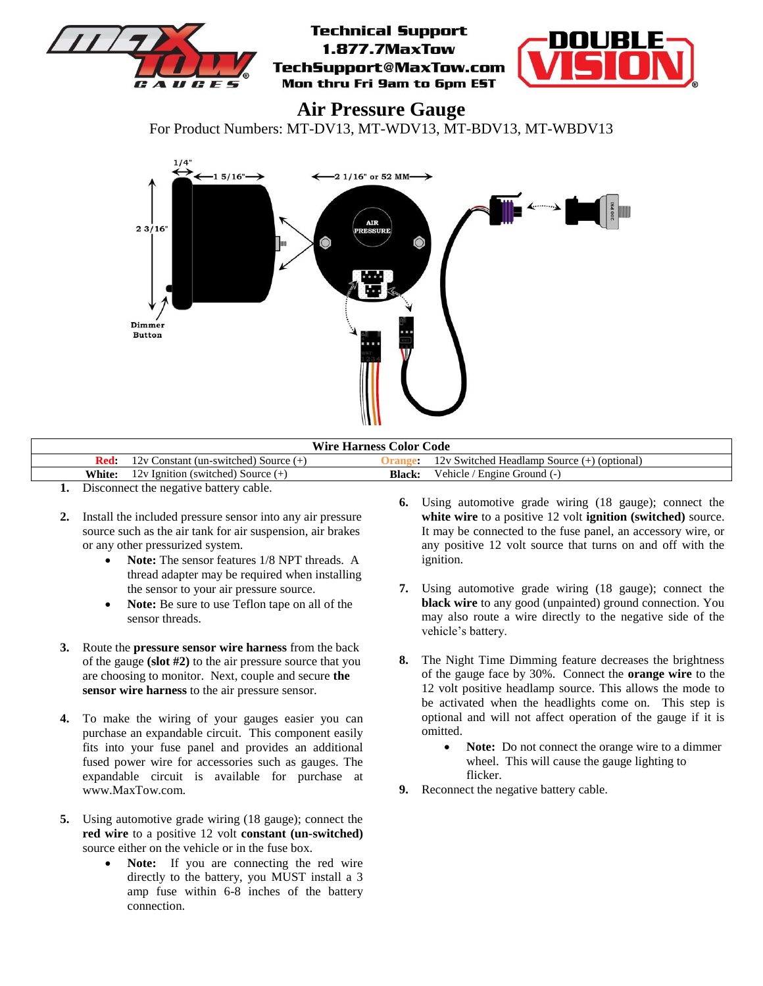

**Air Pressure Gauge**

For Product Numbers: MT-DV13, MT-WDV13, MT-BDV13, MT-WBDV13



| <b>Wire Harness Color Code</b> |                                           |               |                                             |
|--------------------------------|-------------------------------------------|---------------|---------------------------------------------|
|                                | $12v$ Constant (un-switched) Source $(+)$ |               | 12v Switched Headlamp Source (+) (optional) |
| White:                         | 12v Ignition (switched) Source $(+)$      | <b>Black:</b> | Vehicle / Engine Ground (-)                 |
|                                |                                           |               |                                             |

- **1.** Disconnect the negative battery cable.
- **2.** Install the included pressure sensor into any air pressure source such as the air tank for air suspension, air brakes or any other pressurized system.
	- **Note:** The sensor features 1/8 NPT threads. A thread adapter may be required when installing the sensor to your air pressure source.
	- **Note:** Be sure to use Teflon tape on all of the sensor threads.
- **3.** Route the **pressure sensor wire harness** from the back of the gauge **(slot #2)** to the air pressure source that you are choosing to monitor. Next, couple and secure **the sensor wire harness** to the air pressure sensor.
- **4.** To make the wiring of your gauges easier you can purchase an expandable circuit. This component easily fits into your fuse panel and provides an additional fused power wire for accessories such as gauges. The expandable circuit is available for purchase at www.MaxTow.com.
- **5.** Using automotive grade wiring (18 gauge); connect the **red wire** to a positive 12 volt **constant (un-switched)** source either on the vehicle or in the fuse box.
	- **Note:** If you are connecting the red wire directly to the battery, you MUST install a 3 amp fuse within 6-8 inches of the battery connection.
- **6.** Using automotive grade wiring (18 gauge); connect the **white wire** to a positive 12 volt **ignition (switched)** source. It may be connected to the fuse panel, an accessory wire, or any positive 12 volt source that turns on and off with the ignition.
- **7.** Using automotive grade wiring (18 gauge); connect the **black wire** to any good (unpainted) ground connection. You may also route a wire directly to the negative side of the vehicle's battery.
- **8.** The Night Time Dimming feature decreases the brightness of the gauge face by 30%. Connect the **orange wire** to the 12 volt positive headlamp source. This allows the mode to be activated when the headlights come on. This step is optional and will not affect operation of the gauge if it is omitted.
	- **Note:** Do not connect the orange wire to a dimmer wheel. This will cause the gauge lighting to flicker.
- **9.** Reconnect the negative battery cable.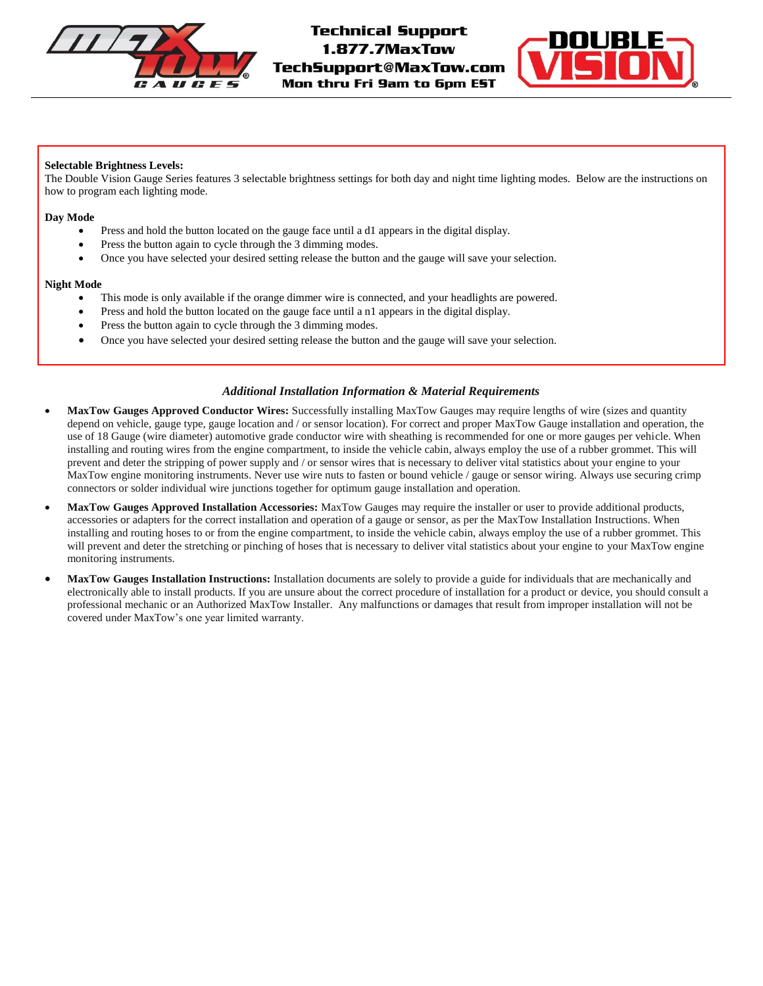



# **Selectable Brightness Levels:**

The Double Vision Gauge Series features 3 selectable brightness settings for both day and night time lighting modes. Below are the instructions on how to program each lighting mode.

### **Day Mode**

- Press and hold the button located on the gauge face until a d1 appears in the digital display.
- Press the button again to cycle through the 3 dimming modes.
- Once you have selected your desired setting release the button and the gauge will save your selection.

# **Night Mode**

- This mode is only available if the orange dimmer wire is connected, and your headlights are powered.
- Press and hold the button located on the gauge face until a n1 appears in the digital display.
- Press the button again to cycle through the 3 dimming modes.
- Once you have selected your desired setting release the button and the gauge will save your selection.

# *Additional Installation Information & Material Requirements*

- **MaxTow Gauges Approved Conductor Wires:** Successfully installing MaxTow Gauges may require lengths of wire (sizes and quantity depend on vehicle, gauge type, gauge location and / or sensor location). For correct and proper MaxTow Gauge installation and operation, the use of 18 Gauge (wire diameter) automotive grade conductor wire with sheathing is recommended for one or more gauges per vehicle. When installing and routing wires from the engine compartment, to inside the vehicle cabin, always employ the use of a rubber grommet. This will prevent and deter the stripping of power supply and / or sensor wires that is necessary to deliver vital statistics about your engine to your MaxTow engine monitoring instruments. Never use wire nuts to fasten or bound vehicle / gauge or sensor wiring. Always use securing crimp connectors or solder individual wire junctions together for optimum gauge installation and operation.
- **MaxTow Gauges Approved Installation Accessories:** MaxTow Gauges may require the installer or user to provide additional products, accessories or adapters for the correct installation and operation of a gauge or sensor, as per the MaxTow Installation Instructions. When installing and routing hoses to or from the engine compartment, to inside the vehicle cabin, always employ the use of a rubber grommet. This will prevent and deter the stretching or pinching of hoses that is necessary to deliver vital statistics about your engine to your MaxTow engine monitoring instruments.
- **MaxTow Gauges Installation Instructions:** Installation documents are solely to provide a guide for individuals that are mechanically and electronically able to install products. If you are unsure about the correct procedure of installation for a product or device, you should consult a professional mechanic or an Authorized MaxTow Installer. Any malfunctions or damages that result from improper installation will not be covered under MaxTow's one year limited warranty.